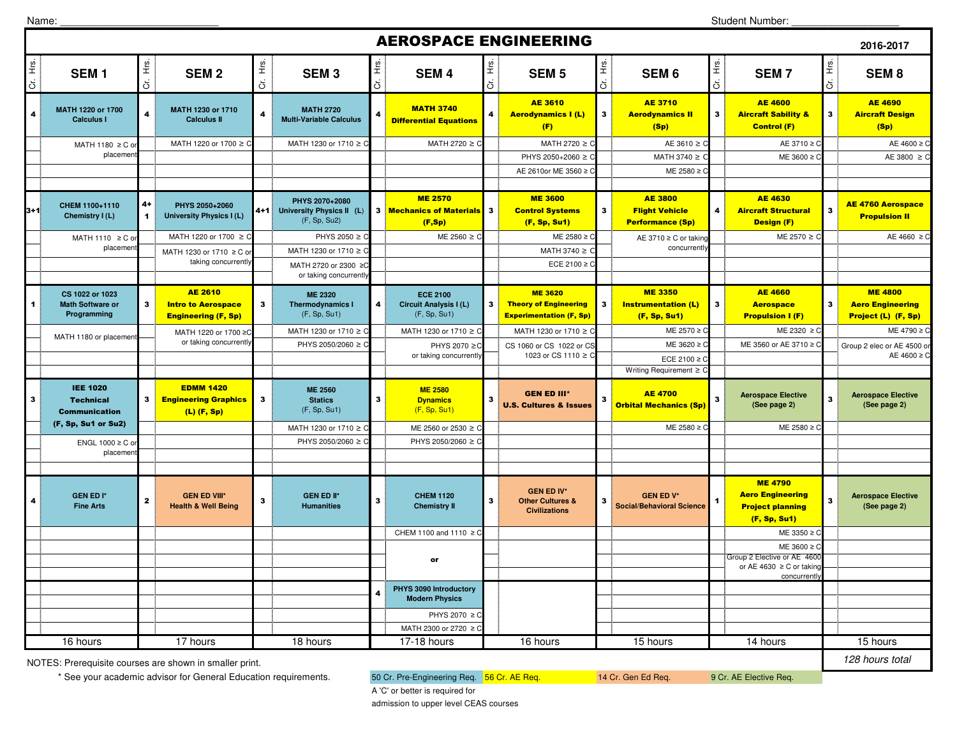Name:

## **2016-2017** $\frac{d}{dt}$ **SEM 1**  $\frac{g}{\pm}$  **SEM 2**  $\frac{d}{dt}$ **SEM 3**  $\frac{g}{\pm}$  **SEM 4** <u>័</u><br>ີ້ **SEM 5**<br>ວັ ້≝<br>\_ີ່ **SEM 6**<br>ວັ  $\begin{bmatrix} \frac{\dot{x}}{\dot{x}} \\ \vdots \end{bmatrix}$  **SEM 7**  $\frac{v}{\overline{c}}$ **SEM 8** 4**MATH 1220 or 1700 Calculus I Calculus II 1230 or 1710 Calculus II All and Calculus II All and Calculus II All and Multi-Variable Calculus <b>Calculus II All and Calculus II All and Calculus II All and Differential Equations** AE 3610 Aerodynamics I (L) (F) $3<sup>1</sup>$ AE 3710 <mark>Aerodynamics II</mark> (Sp) $3^{\frac{1}{2}}$ AE 4600 Aircraft Sability & Control (F)3AE 4690 Aircraft Design (Sp)MATH 1220 or 1700 ≥ C MATH 1230 or 1710 ≥ C  $\stackrel{1}{\vdots}$  MATH 2720 ≥ C  $\stackrel{1}{\vdots}$  MATH 2720 ≥ C  $\stackrel{1}{\vdots}$  AE 3610 ≥ 0 C AE 3710 ≥ C AE 4600 ≥ C PHYS 2050+2060 ≥ C MATH 3740 ≥ ME  $3600 \geq$ AE 3800 ≥ AE 2610or ME 3560 ≥ C  $ME = 2580$  ≥ 3+1**CHEM 1100+1110** 4+<br>**Chemistry I (L)** 4 **PHYS 2050+2060 PHYS 2070+2080 University Physics I (L) 4+1 University Physics II (L)** (F, Sp, Su2) **3 ME 2570<br>3 Mechanics of Materials<br>(F,Sp)** 70 ME 3600 ME 3600 AE 3800 AE 4630 AE 4630 AE 4760 Acrospace<br>Materials 3 Control Systems (Sp) 4 Aircraft Structural Design (F) Propulsion II<br>) (F, Sp, Su1) Performance (Sp) Design (F) 3 AE 4760 Aerospace MATH 1220 or 1700 ≥ C  $\parallel$  PHYS 2050 ≥ C  $\parallel$  ME 2560 ≥  $\parallel$ C ME 2580 ≥C AE 3710 ≥C or taking ME 2570 ≥C <u>(C AE 4660 ≥C</u> MATH 1230 or 1710 ≥ MATH 3740  $\geq$ ECE 2100 ≥ 1**CS 1022 or 1023 Math Software or Programming** 3AE 2610 **Intro to Aerospace** Engineering (F, Sp)3**ME 2320 Thermodynamics I** (F, Sp, Su1)4**ECE 2100 Circuit Analysis I (L)** (F, Sp, Su1)3ME 3620 Theory of Engineering Experimentation (F, Sp)3ME 3350 Instrumentation (L) (F, Sp, Su1)3AE 4660 **Aerospace** Propulsion I (F)3ME 4800 Aero Engineering Project (L) (F, Sp)MATH 1230 or 1710 ≥ C MATH 1230 or 1710 ≥ C MATH 1230 or 1710 ≥ 0 C <u>Superintend</u> B ME 2570 ≥ C C ME 2320 ≥ C C ME 4790 ≥ C PHYS 2050/2060 ≥ C ME 3620 ≥ C PHYS 2070 ≥C C CS 1060 or CS 1022 or CS C CS C ME 3620 ≥ C ME 3560 or AE 3710 ≥ C ECE 2100 ≥ Writing Requirement ≥ C<sup>3</sup> <sup>3</sup> Technical EDMM 1420 Engineering Graphics (L) (F, Sp)3**ME 2560 Statics**  (F, Sp, Su1)3**ME 2580 Dynamics**  (F, Sp, Su1)3GEN ED III\* U.S. Cultures & Issues3AE 4700 Orbital Mechanics (Sp)3 **Aerospace Elective (See page 2)** <sup>3</sup> **Aerospace Elective (See page 2)** MATH 1230 or 1710  $\geq C$  ME 2560 or 2530  $\geq$  C C <u>Desimble 2580 ≥C desimble 2580 ≥C</u> ME 2580 ≥C design and ME 2580 ≥C PHYS 2050/2060 ≥ C PHYS 2050/2060 ≥ 4 **GEN ED I\* Fine Arts** <sup>2</sup> **GEN ED VIII\* Health & Well BeingGEN ED IV\***<br>**3** GEN ED IV\* CHEM 1120 Chemistry II 3 Conter Cultures &<br>Civilizations GEN ED IV\*<br>Other Cultures & **3**<br>Civilizations **3**<br>Social/Behavioral Science ME 4790 Aero Engineering Project planning (F, Sp, Su1)3 **Aerospace Elective (See page 2)**CHEM 1100 and 1110 ≥ 0 C <u>Design and the set of the set of the set of the set of the set of the set of the set of the set of the set o</u>  $ME 3600 \geq$  Group 2 Elective or AE 4600 PHYS 2070 ≥ 0 MATH 2300 or 2720 ≥ 1023 or CS 1110 ≥ or**PHYS 3090 Introductory Modern Physics** <sup>4</sup> 15 hours 14 hours or AE 4630 ≥ C or taking concurrentl AEROSPACE ENGINEERING MATH 2720 or 2300 ≥C or taking concurrentl MATH 1230 or 1710 ≥ C or taking concurrentl MATH 1110  $\geq$  C or placemen MATH 1180  $\geq$  C c placemen ENGL 1000  $\geq$  C or placemen 17-18 hours 16 hours Group 2 elec or AE 4500 AE  $4600 \geq$ concurrentl MATH 1180 or placemen IEE 1020 Communication (F, Sp, Su1 or Su2)MATH 1220 or 1700 ≥ or taking concurrentlyPHYS 2070 ≥ or taking concurrently16 hours 17 hours 18 hours s 17-18 hours 16 hours 15 hours 15 hours 14 hours 15 hours 15 hours

NOTES: Prerequisite courses are shown in smaller print.

\* See your academic advisor for General Education requirements. 60 Cr. Pre-Engineering Req. 56 Cr. AE Req. 14 Cr. Gen Ed Req. 9 Cr. AE Elective Req.

128 hours total

A 'C' or better is required foradmission to upper level CEAS courses